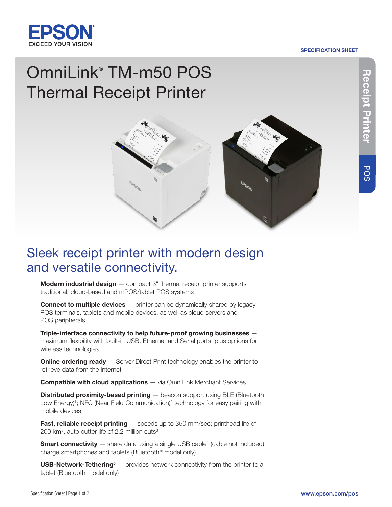

#### SPECIFICATION SHEET

# OmniLink® TM-m50 POS Thermal Receipt Printer



## Sleek receipt printer with modern design and versatile connectivity.

**Modern industrial design**  $-$  compact  $3$ " thermal receipt printer supports traditional, cloud-based and mPOS/tablet POS systems

**Connect to multiple devices**  $-$  printer can be dynamically shared by legacy POS terminals, tablets and mobile devices, as well as cloud servers and POS peripherals

Triple-interface connectivity to help future-proof growing businesses maximum flexibility with built-in USB, Ethernet and Serial ports, plus options for wireless technologies

**Online ordering ready**  $-$  Server Direct Print technology enables the printer to retrieve data from the Internet

**Compatible with cloud applications** — via OmniLink Merchant Services

**Distributed proximity-based printing — beacon support using BLE (Bluetooth** Low Energy)<sup>1</sup>; NFC (Near Field Communication)<sup>2</sup> technology for easy pairing with mobile devices

**Fast, reliable receipt printing**  $-$  speeds up to 350 mm/sec; printhead life of 200 km<sup>3</sup>, auto cutter life of 2.2 million cuts<sup>3</sup>

**Smart connectivity**  $-$  share data using a single USB cable<sup>4</sup> (cable not included); charge smartphones and tablets (Bluetooth® model only)

**USB-Network-Tethering**<sup>5</sup>  $-$  provides network connectivity from the printer to a tablet (Bluetooth model only)

POS